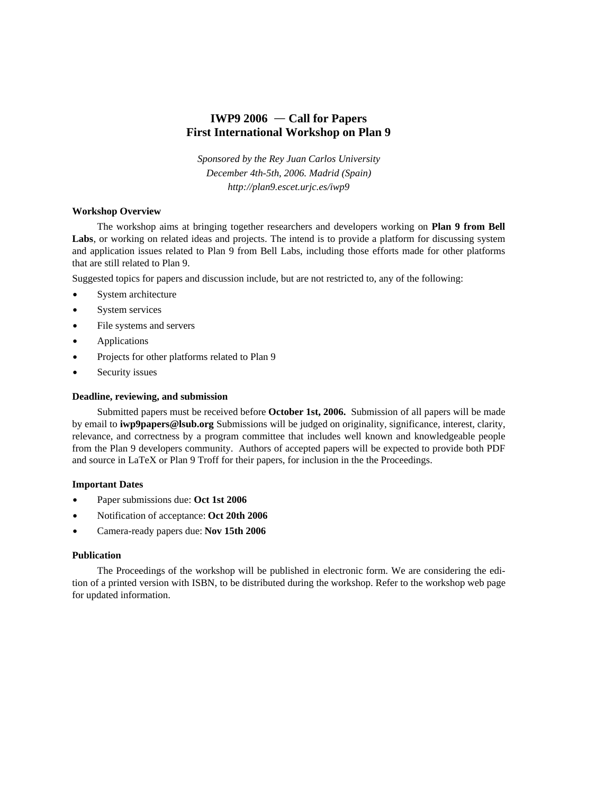# **IWP9 2006 Call for Papers First International Workshop on Plan 9**

*Sponsored by the Rey Juan Carlos University December 4th-5th, 2006. Madrid (Spain) http://plan9.escet.urjc.es/iwp9*

### **Workshop Overview**

The workshop aims at bringing together researchers and developers working on **Plan 9 from Bell Labs**, or working on related ideas and projects. The intend is to provide a platform for discussing system and application issues related to Plan 9 from Bell Labs, including those efforts made for other platforms that are still related to Plan 9.

Suggested topics for papers and discussion include, but are not restricted to, any of the following:

- System architecture
- System services
- File systems and servers
- Applications
- Projects for other platforms related to Plan 9
- Security issues

# **Deadline, reviewing, and submission**

Submitted papers must be received before **October 1st, 2006.** Submission of all papers will be made by email to **iwp9papers@lsub.org** Submissions will be judged on originality, significance, interest, clarity, relevance, and correctness by a program committee that includes well known and knowledgeable people from the Plan 9 developers community. Authors of accepted papers will be expected to provide both PDF and source in LaTeX or Plan 9 Troff for their papers, for inclusion in the the Proceedings.

### **Important Dates**

- Paper submissions due: **Oct 1st 2006**
- Notification of acceptance: **Oct 20th 2006**
- Camera-ready papers due: **Nov 15th 2006**

### **Publication**

The Proceedings of the workshop will be published in electronic form. We are considering the edition of a printed version with ISBN, to be distributed during the workshop. Refer to the workshop web page for updated information.